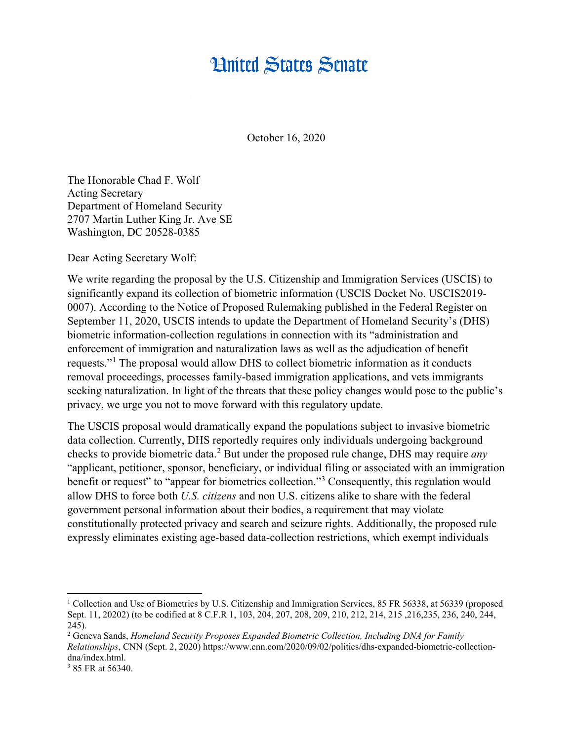## **Hnited States Senate**

October 16, 2020

The Honorable Chad F. Wolf Acting Secretary Department of Homeland Security 2707 Martin Luther King Jr. Ave SE Washington, DC 20528-0385

Dear Acting Secretary Wolf:

We write regarding the proposal by the U.S. Citizenship and Immigration Services (USCIS) to significantly expand its collection of biometric information (USCIS Docket No. USCIS2019- 0007). According to the Notice of Proposed Rulemaking published in the Federal Register on September 11, 2020, USCIS intends to update the Department of Homeland Security's (DHS) biometric information-collection regulations in connection with its "administration and enforcement of immigration and naturalization laws as well as the adjudication of benefit requests."[1](#page-0-0) The proposal would allow DHS to collect biometric information as it conducts removal proceedings, processes family-based immigration applications, and vets immigrants seeking naturalization. In light of the threats that these policy changes would pose to the public's privacy, we urge you not to move forward with this regulatory update.

The USCIS proposal would dramatically expand the populations subject to invasive biometric data collection. Currently, DHS reportedly requires only individuals undergoing background checks to provide biometric data.[2](#page-0-1) But under the proposed rule change, DHS may require *any* "applicant, petitioner, sponsor, beneficiary, or individual filing or associated with an immigration benefit or request" to "appear for biometrics collection."<sup>[3](#page-0-2)</sup> Consequently, this regulation would allow DHS to force both *U.S. citizens* and non U.S. citizens alike to share with the federal government personal information about their bodies, a requirement that may violate constitutionally protected privacy and search and seizure rights. Additionally, the proposed rule expressly eliminates existing age-based data-collection restrictions, which exempt individuals

l

<span id="page-0-0"></span><sup>&</sup>lt;sup>1</sup> Collection and Use of Biometrics by U.S. Citizenship and Immigration Services, 85 FR 56338, at 56339 (proposed Sept. 11, 20202) (to be codified at 8 C.F.R 1, 103, 204, 207, 208, 209, 210, 212, 214, 215 ,216,235, 236, 240, 244, 245).

<span id="page-0-1"></span><sup>2</sup> Geneva Sands, *Homeland Security Proposes Expanded Biometric Collection, Including DNA for Family Relationships*, CNN (Sept. 2, 2020) https://www.cnn.com/2020/09/02/politics/dhs-expanded-biometric-collectiondna/index.html.

<span id="page-0-2"></span><sup>&</sup>lt;sup>3</sup> 85 FR at 56340.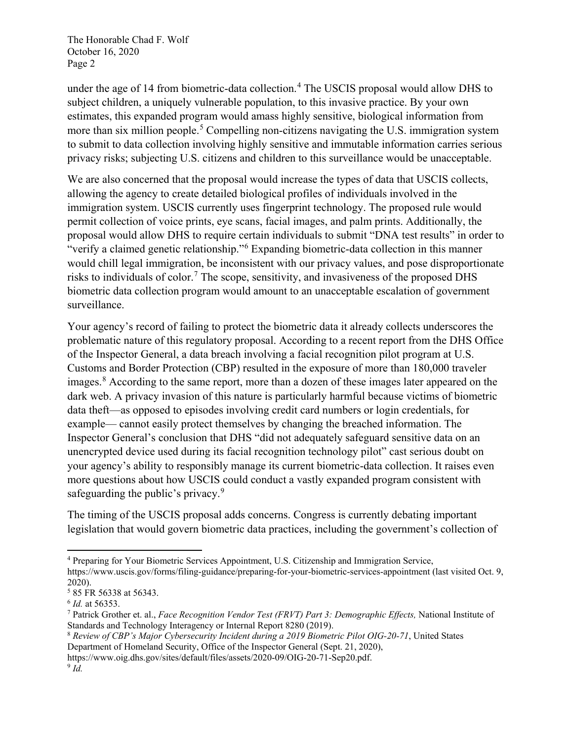The Honorable Chad F. Wolf October 16, 2020 Page 2

under the age of 1[4](#page-1-0) from biometric-data collection.<sup>4</sup> The USCIS proposal would allow DHS to subject children, a uniquely vulnerable population, to this invasive practice. By your own estimates, this expanded program would amass highly sensitive, biological information from more than six million people.<sup>[5](#page-1-1)</sup> Compelling non-citizens navigating the U.S. immigration system to submit to data collection involving highly sensitive and immutable information carries serious privacy risks; subjecting U.S. citizens and children to this surveillance would be unacceptable.

We are also concerned that the proposal would increase the types of data that USCIS collects, allowing the agency to create detailed biological profiles of individuals involved in the immigration system. USCIS currently uses fingerprint technology. The proposed rule would permit collection of voice prints, eye scans, facial images, and palm prints. Additionally, the proposal would allow DHS to require certain individuals to submit "DNA test results" in order to "verify a claimed genetic relationship."[6](#page-1-2) Expanding biometric-data collection in this manner would chill legal immigration, be inconsistent with our privacy values, and pose disproportionate risks to individuals of color.<sup>[7](#page-1-3)</sup> The scope, sensitivity, and invasiveness of the proposed DHS biometric data collection program would amount to an unacceptable escalation of government surveillance.

Your agency's record of failing to protect the biometric data it already collects underscores the problematic nature of this regulatory proposal. According to a recent report from the DHS Office of the Inspector General, a data breach involving a facial recognition pilot program at U.S. Customs and Border Protection (CBP) resulted in the exposure of more than 180,000 traveler images.[8](#page-1-4) According to the same report, more than a dozen of these images later appeared on the dark web. A privacy invasion of this nature is particularly harmful because victims of biometric data theft—as opposed to episodes involving credit card numbers or login credentials, for example— cannot easily protect themselves by changing the breached information. The Inspector General's conclusion that DHS "did not adequately safeguard sensitive data on an unencrypted device used during its facial recognition technology pilot" cast serious doubt on your agency's ability to responsibly manage its current biometric-data collection. It raises even more questions about how USCIS could conduct a vastly expanded program consistent with safeguarding the public's privacy.<sup>[9](#page-1-5)</sup>

The timing of the USCIS proposal adds concerns. Congress is currently debating important legislation that would govern biometric data practices, including the government's collection of

 $\overline{\phantom{a}}$ 

<span id="page-1-0"></span><sup>4</sup> Preparing for Your Biometric Services Appointment, U.S. Citizenship and Immigration Service, https://www.uscis.gov/forms/filing-guidance/preparing-for-your-biometric-services-appointment (last visited Oct. 9, 2020).

<span id="page-1-1"></span><sup>5</sup> 85 FR 56338 at 56343. 6 *Id.* at 56353.

<span id="page-1-2"></span>

<span id="page-1-3"></span><sup>7</sup> Patrick Grother et. al., *Face Recognition Vendor Test (FRVT) Part 3: Demographic Effects,* National Institute of Standards and Technology Interagency or Internal Report 8280 (2019). 8 *Review of CBP's Major Cybersecurity Incident during a 2019 Biometric Pilot OIG-20-71*, United States

<span id="page-1-4"></span>Department of Homeland Security, Office of the Inspector General (Sept. 21, 2020),

<span id="page-1-5"></span>https://www.oig.dhs.gov/sites/default/files/assets/2020-09/OIG-20-71-Sep20.pdf. 9 *Id.*